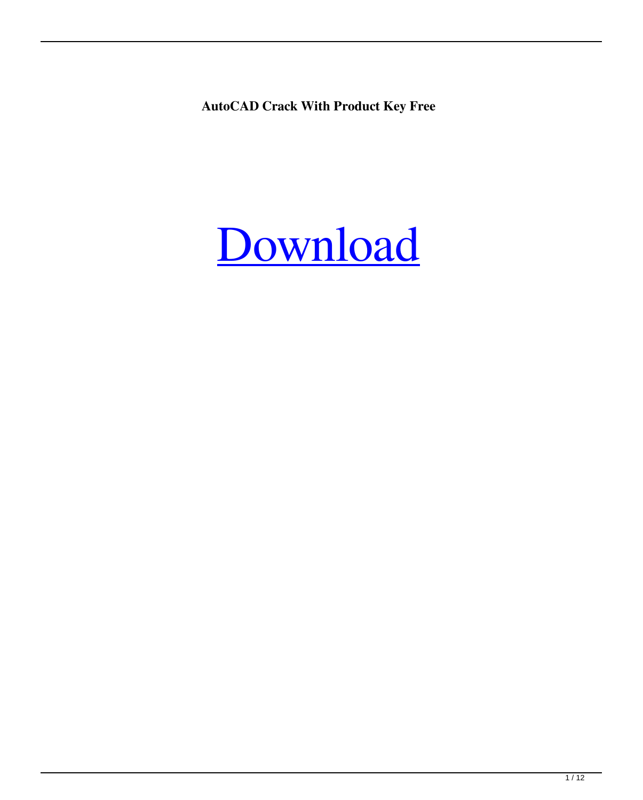**AutoCAD Crack With Product Key Free**

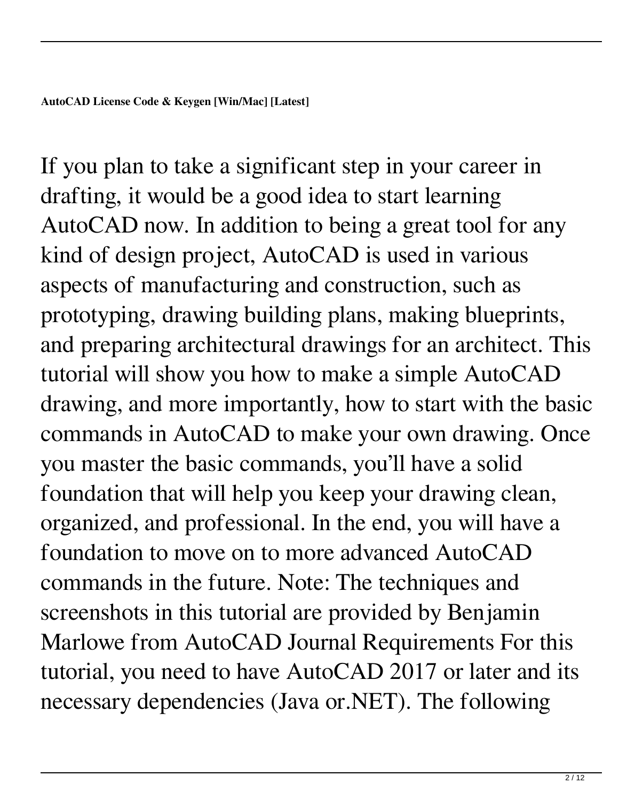If you plan to take a significant step in your career in drafting, it would be a good idea to start learning AutoCAD now. In addition to being a great tool for any kind of design project, AutoCAD is used in various aspects of manufacturing and construction, such as prototyping, drawing building plans, making blueprints, and preparing architectural drawings for an architect. This tutorial will show you how to make a simple AutoCAD drawing, and more importantly, how to start with the basic commands in AutoCAD to make your own drawing. Once you master the basic commands, you'll have a solid foundation that will help you keep your drawing clean, organized, and professional. In the end, you will have a foundation to move on to more advanced AutoCAD commands in the future. Note: The techniques and screenshots in this tutorial are provided by Benjamin Marlowe from AutoCAD Journal Requirements For this tutorial, you need to have AutoCAD 2017 or later and its necessary dependencies (Java or.NET). The following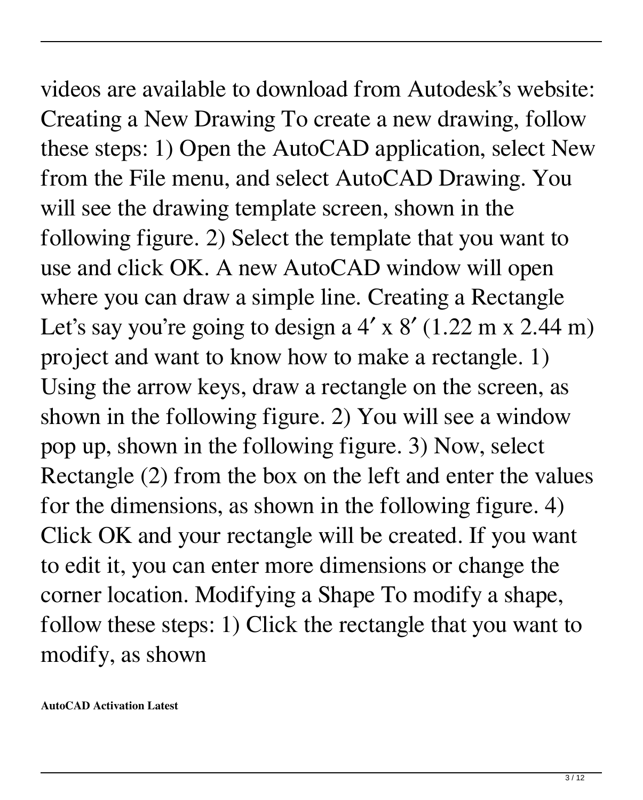videos are available to download from Autodesk's website: Creating a New Drawing To create a new drawing, follow these steps: 1) Open the AutoCAD application, select New from the File menu, and select AutoCAD Drawing. You will see the drawing template screen, shown in the following figure. 2) Select the template that you want to use and click OK. A new AutoCAD window will open where you can draw a simple line. Creating a Rectangle Let's say you're going to design a  $4' \times 8'$  (1.22 m x 2.44 m) project and want to know how to make a rectangle. 1) Using the arrow keys, draw a rectangle on the screen, as shown in the following figure. 2) You will see a window pop up, shown in the following figure. 3) Now, select Rectangle (2) from the box on the left and enter the values for the dimensions, as shown in the following figure. 4) Click OK and your rectangle will be created. If you want to edit it, you can enter more dimensions or change the corner location. Modifying a Shape To modify a shape, follow these steps: 1) Click the rectangle that you want to modify, as shown

**AutoCAD Activation Latest**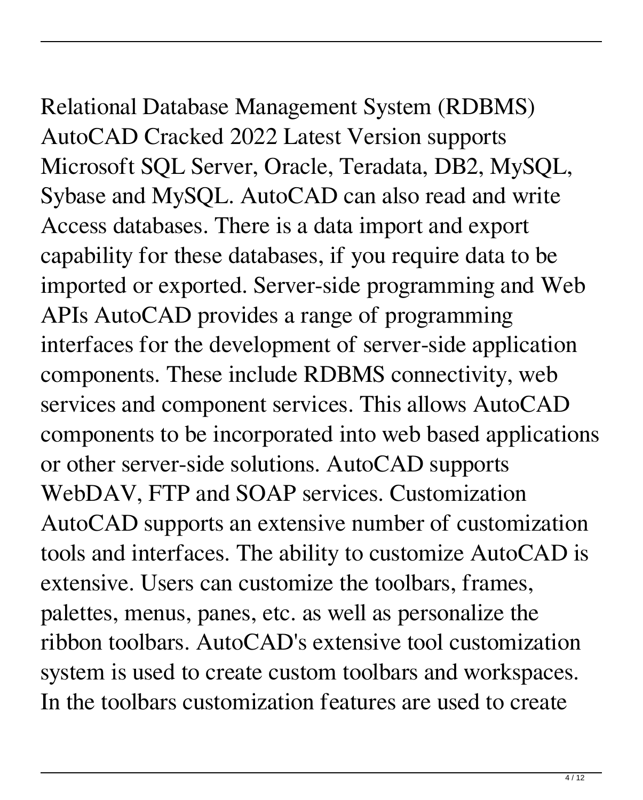## Relational Database Management System (RDBMS)

AutoCAD Cracked 2022 Latest Version supports Microsoft SQL Server, Oracle, Teradata, DB2, MySQL, Sybase and MySQL. AutoCAD can also read and write Access databases. There is a data import and export capability for these databases, if you require data to be imported or exported. Server-side programming and Web APIs AutoCAD provides a range of programming interfaces for the development of server-side application components. These include RDBMS connectivity, web services and component services. This allows AutoCAD components to be incorporated into web based applications or other server-side solutions. AutoCAD supports WebDAV, FTP and SOAP services. Customization AutoCAD supports an extensive number of customization tools and interfaces. The ability to customize AutoCAD is extensive. Users can customize the toolbars, frames, palettes, menus, panes, etc. as well as personalize the ribbon toolbars. AutoCAD's extensive tool customization system is used to create custom toolbars and workspaces. In the toolbars customization features are used to create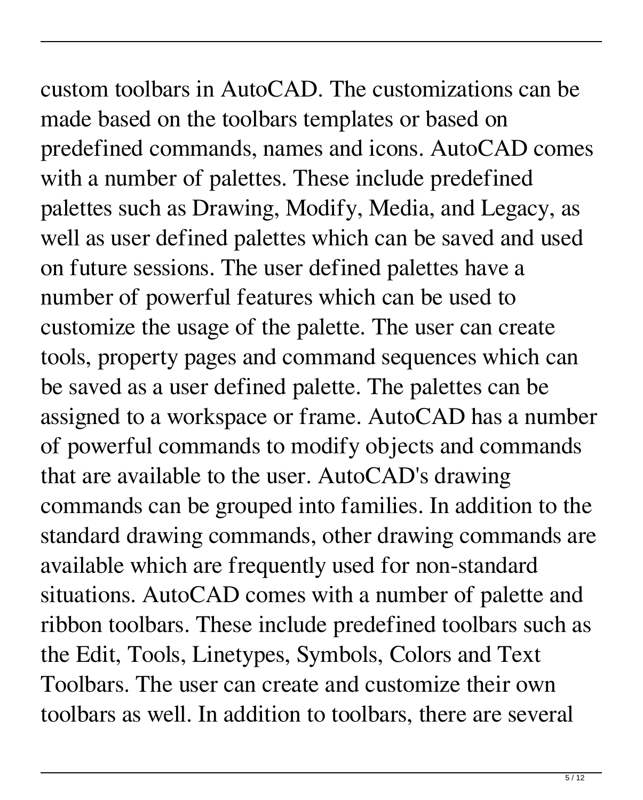custom toolbars in AutoCAD. The customizations can be made based on the toolbars templates or based on predefined commands, names and icons. AutoCAD comes with a number of palettes. These include predefined palettes such as Drawing, Modify, Media, and Legacy, as well as user defined palettes which can be saved and used on future sessions. The user defined palettes have a number of powerful features which can be used to customize the usage of the palette. The user can create tools, property pages and command sequences which can be saved as a user defined palette. The palettes can be assigned to a workspace or frame. AutoCAD has a number of powerful commands to modify objects and commands that are available to the user. AutoCAD's drawing commands can be grouped into families. In addition to the standard drawing commands, other drawing commands are available which are frequently used for non-standard situations. AutoCAD comes with a number of palette and ribbon toolbars. These include predefined toolbars such as the Edit, Tools, Linetypes, Symbols, Colors and Text Toolbars. The user can create and customize their own toolbars as well. In addition to toolbars, there are several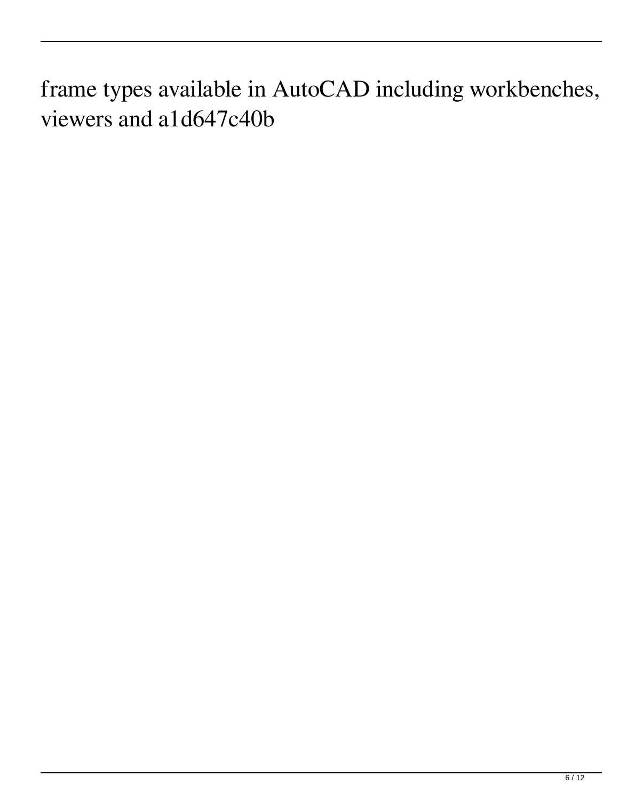frame types available in AutoCAD including workbenches, viewers and a1d647c40b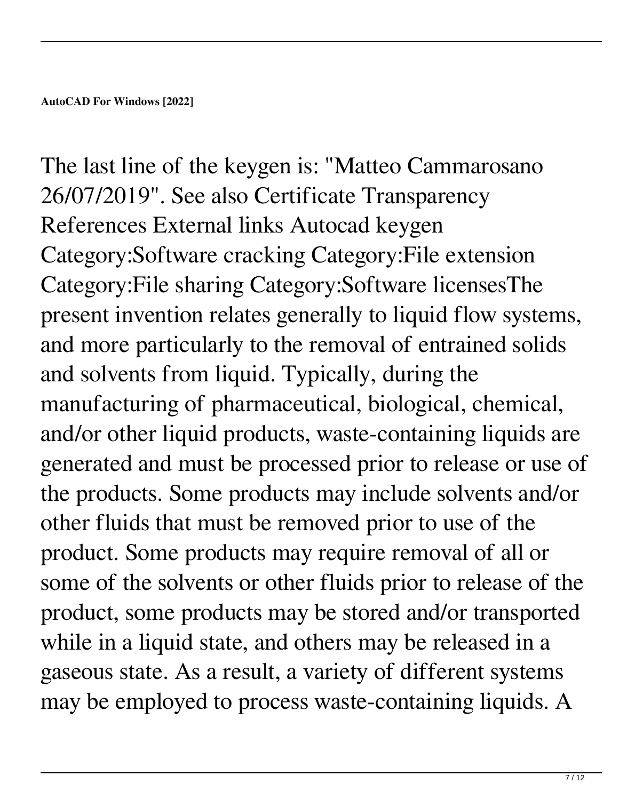The last line of the keygen is: "Matteo Cammarosano 26/07/2019". See also Certificate Transparency References External links Autocad keygen Category:Software cracking Category:File extension Category:File sharing Category:Software licensesThe present invention relates generally to liquid flow systems, and more particularly to the removal of entrained solids and solvents from liquid. Typically, during the manufacturing of pharmaceutical, biological, chemical, and/or other liquid products, waste-containing liquids are generated and must be processed prior to release or use of the products. Some products may include solvents and/or other fluids that must be removed prior to use of the product. Some products may require removal of all or some of the solvents or other fluids prior to release of the product, some products may be stored and/or transported while in a liquid state, and others may be released in a gaseous state. As a result, a variety of different systems may be employed to process waste-containing liquids. A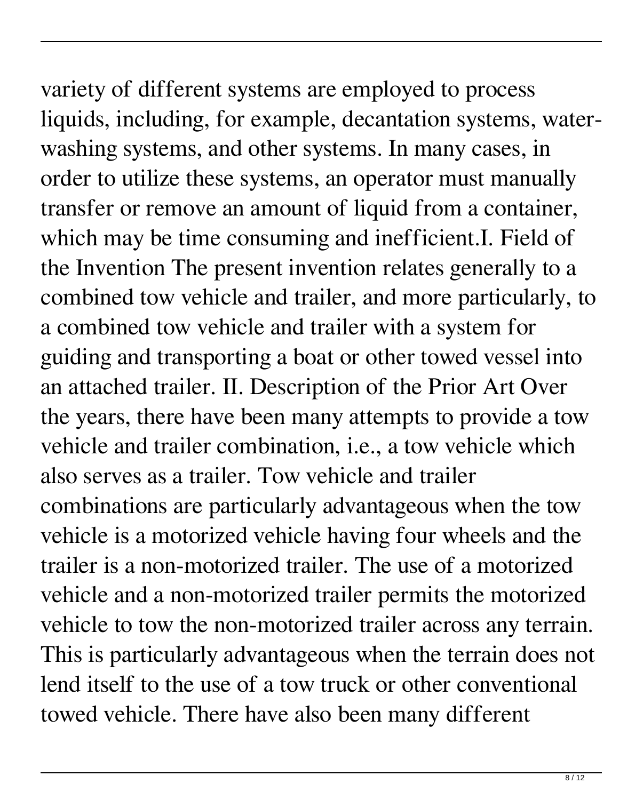variety of different systems are employed to process liquids, including, for example, decantation systems, waterwashing systems, and other systems. In many cases, in order to utilize these systems, an operator must manually transfer or remove an amount of liquid from a container, which may be time consuming and inefficient. I. Field of the Invention The present invention relates generally to a combined tow vehicle and trailer, and more particularly, to a combined tow vehicle and trailer with a system for guiding and transporting a boat or other towed vessel into an attached trailer. II. Description of the Prior Art Over the years, there have been many attempts to provide a tow vehicle and trailer combination, i.e., a tow vehicle which also serves as a trailer. Tow vehicle and trailer combinations are particularly advantageous when the tow vehicle is a motorized vehicle having four wheels and the trailer is a non-motorized trailer. The use of a motorized vehicle and a non-motorized trailer permits the motorized vehicle to tow the non-motorized trailer across any terrain. This is particularly advantageous when the terrain does not lend itself to the use of a tow truck or other conventional towed vehicle. There have also been many different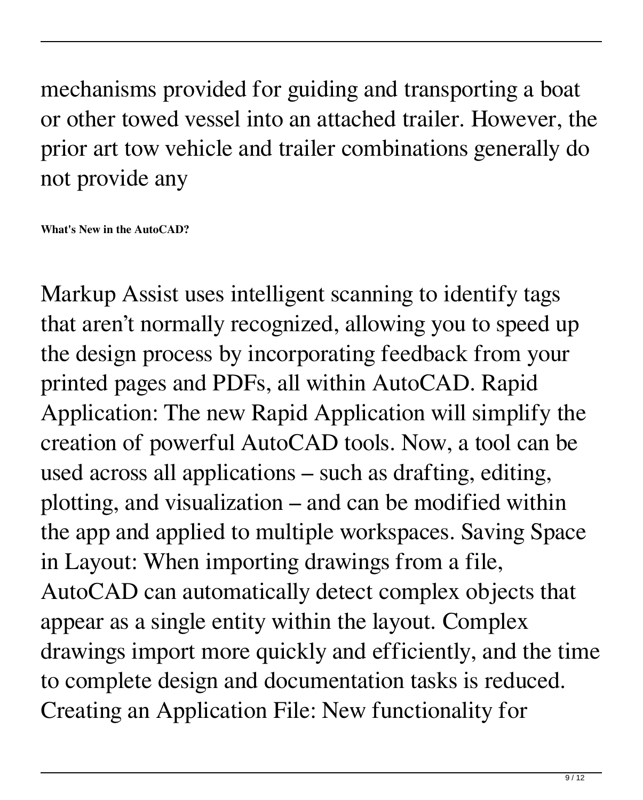mechanisms provided for guiding and transporting a boat or other towed vessel into an attached trailer. However, the prior art tow vehicle and trailer combinations generally do not provide any

**What's New in the AutoCAD?**

Markup Assist uses intelligent scanning to identify tags that aren't normally recognized, allowing you to speed up the design process by incorporating feedback from your printed pages and PDFs, all within AutoCAD. Rapid Application: The new Rapid Application will simplify the creation of powerful AutoCAD tools. Now, a tool can be used across all applications – such as drafting, editing, plotting, and visualization – and can be modified within the app and applied to multiple workspaces. Saving Space in Layout: When importing drawings from a file, AutoCAD can automatically detect complex objects that appear as a single entity within the layout. Complex drawings import more quickly and efficiently, and the time to complete design and documentation tasks is reduced. Creating an Application File: New functionality for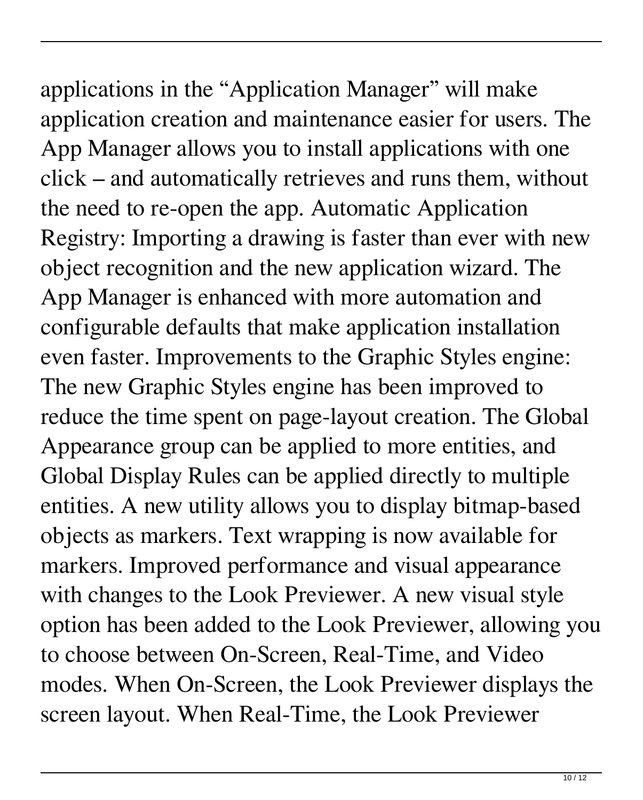applications in the "Application Manager" will make application creation and maintenance easier for users. The App Manager allows you to install applications with one click – and automatically retrieves and runs them, without the need to re-open the app. Automatic Application Registry: Importing a drawing is faster than ever with new object recognition and the new application wizard. The App Manager is enhanced with more automation and configurable defaults that make application installation even faster. Improvements to the Graphic Styles engine: The new Graphic Styles engine has been improved to reduce the time spent on page-layout creation. The Global Appearance group can be applied to more entities, and Global Display Rules can be applied directly to multiple entities. A new utility allows you to display bitmap-based objects as markers. Text wrapping is now available for markers. Improved performance and visual appearance with changes to the Look Previewer. A new visual style option has been added to the Look Previewer, allowing you to choose between On-Screen, Real-Time, and Video modes. When On-Screen, the Look Previewer displays the screen layout. When Real-Time, the Look Previewer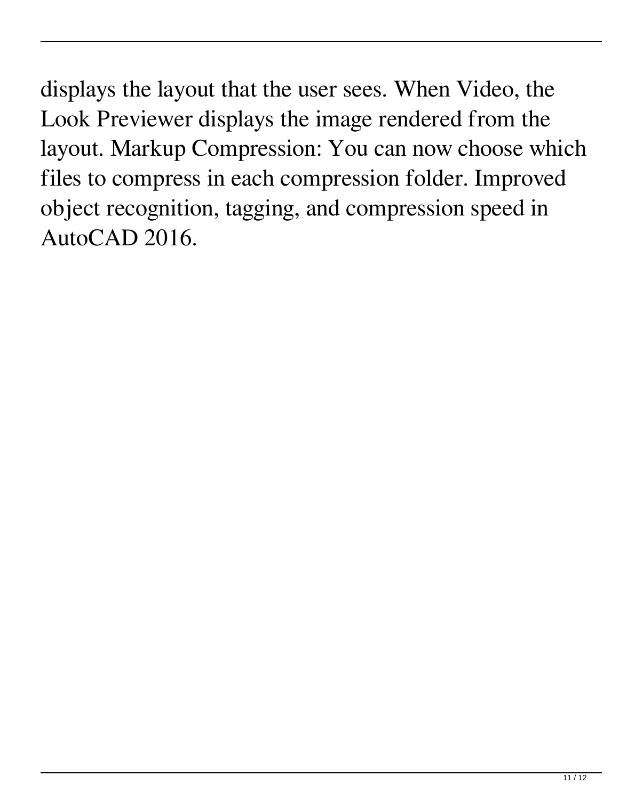displays the layout that the user sees. When Video, the Look Previewer displays the image rendered from the layout. Markup Compression: You can now choose which files to compress in each compression folder. Improved object recognition, tagging, and compression speed in AutoCAD 2016.